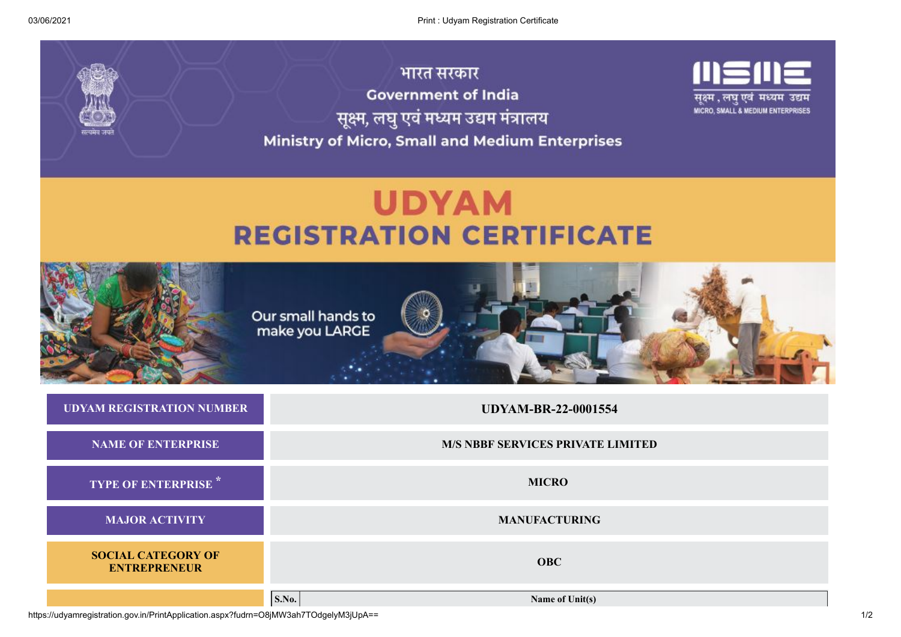

## **UDYAM REGISTRATION CERTIFICATE**



**TYPE OF ENTERPRISE \* MICRO**

**MAJOR ACTIVITY MANUFACTURING**

**SOCIAL CATEGORY OF ENTREPRENEUR OBC**

**S.No. Name of Unit(s)**

https://udyamregistration.gov.in/PrintApplication.aspx?fudrn=O8jMW3ah7TOdgelyM3jUpA== 1/2